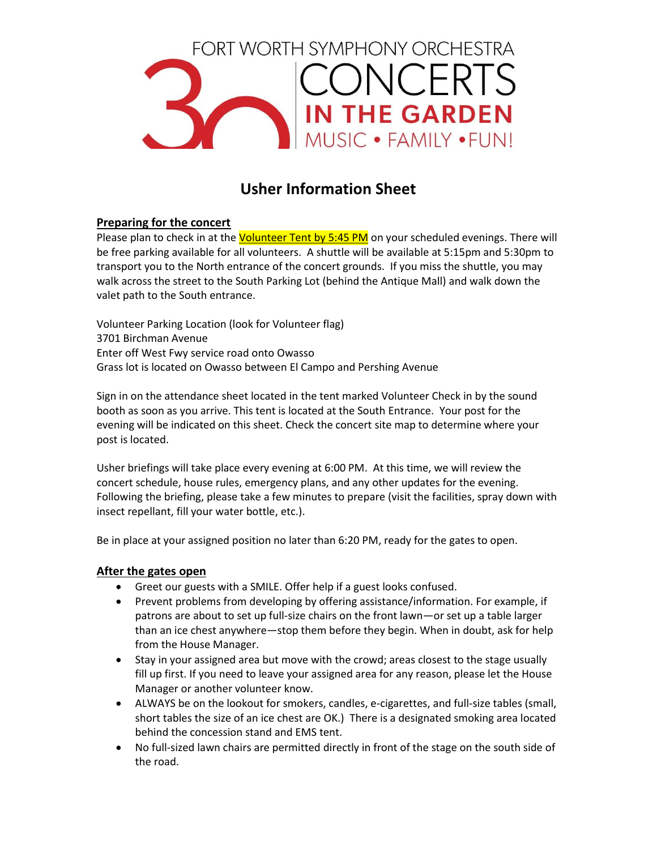

# **Usher Information Sheet**

# **Preparing for the concert**

Please plan to check in at the Volunteer Tent by 5:45 PM on your scheduled evenings. There will be free parking available for all volunteers. A shuttle will be available at 5:15pm and 5:30pm to transport you to the North entrance of the concert grounds. If you miss the shuttle, you may walk across the street to the South Parking Lot (behind the Antique Mall) and walk down the valet path to the South entrance.

Volunteer Parking Location (look for Volunteer flag) 3701 Birchman Avenue Enter off West Fwy service road onto Owasso Grass lot is located on Owasso between El Campo and Pershing Avenue

Sign in on the attendance sheet located in the tent marked Volunteer Check in by the sound booth as soon as you arrive. This tent is located at the South Entrance. Your post for the evening will be indicated on this sheet. Check the concert site map to determine where your post is located.

Usher briefings will take place every evening at 6:00 PM. At this time, we will review the concert schedule, house rules, emergency plans, and any other updates for the evening. Following the briefing, please take a few minutes to prepare (visit the facilities, spray down with insect repellant, fill your water bottle, etc.).

Be in place at your assigned position no later than 6:20 PM, ready for the gates to open.

# **After the gates open**

- Greet our guests with a SMILE. Offer help if a guest looks confused.
- Prevent problems from developing by offering assistance/information. For example, if patrons are about to set up full-size chairs on the front lawn—or set up a table larger than an ice chest anywhere—stop them before they begin. When in doubt, ask for help from the House Manager.
- Stay in your assigned area but move with the crowd; areas closest to the stage usually fill up first. If you need to leave your assigned area for any reason, please let the House Manager or another volunteer know.
- ALWAYS be on the lookout for smokers, candles, e-cigarettes, and full-size tables (small, short tables the size of an ice chest are OK.) There is a designated smoking area located behind the concession stand and EMS tent.
- No full-sized lawn chairs are permitted directly in front of the stage on the south side of the road.